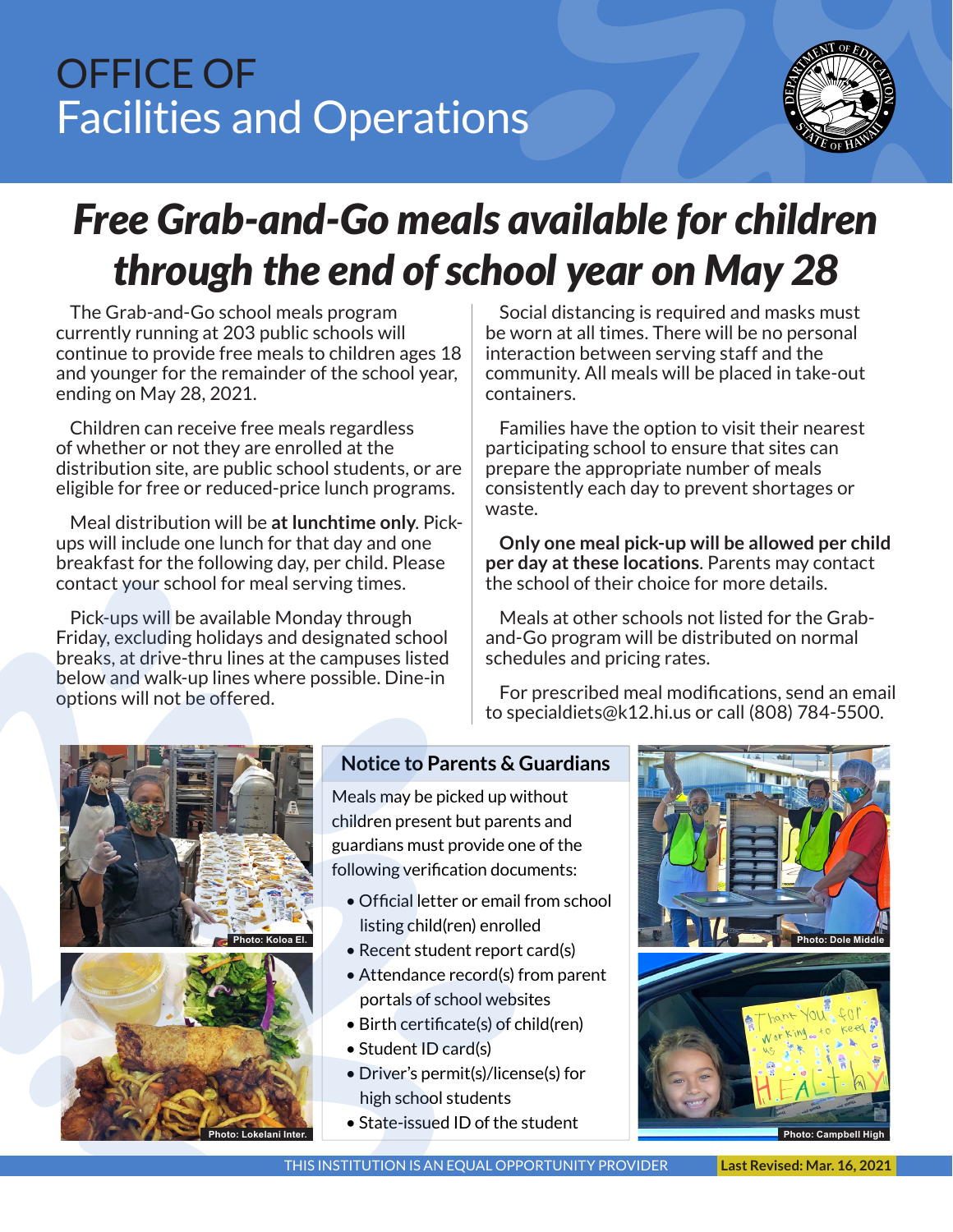# OFFICE OF Facilities and Operations



# *Free Grab-and-Go meals available for children through the end of school year on May 28*

The Grab-and-Go school meals program currently running at 203 public schools will continue to provide free meals to children ages 18 and younger for the remainder of the school year, ending on May 28, 2021.

Children can receive free meals regardless of whether or not they are enrolled at the distribution site, are public school students, or are eligible for free or reduced-price lunch programs.

Meal distribution will be **at lunchtime only**. Pickups will include one lunch for that day and one breakfast for the following day, per child. Please contact your school for meal serving times.

Pick-ups will be available Monday through Friday, excluding holidays and designated school breaks, at drive-thru lines at the campuses listed below and walk-up lines where possible. Dine-in options will not be offered.

Social distancing is required and masks must be worn at all times. There will be no personal interaction between serving staff and the community. All meals will be placed in take-out containers.

Families have the option to visit their nearest participating school to ensure that sites can prepare the appropriate number of meals consistently each day to prevent shortages or waste.

**Only one meal pick-up will be allowed per child per day at these locations**. Parents may contact the school of their choice for more details.

Meals at other schools not listed for the Graband-Go program will be distributed on normal schedules and pricing rates.

For prescribed meal modifications, send an email to specialdiets@k12.hi.us or call (808) 784-5500.





# **Notice to Parents & Guardians**

Meals may be picked up without children present but parents and guardians must provide one of the following verification documents:

- Official letter or email from school listing child(ren) enrolled
- Recent student report card(s)
- Attendance record(s) from parent portals of school websites
- Birth certificate(s) of child(ren)
- Student ID card(s)
- Driver's permit(s)/license(s) for high school students
- State-issued ID of the student